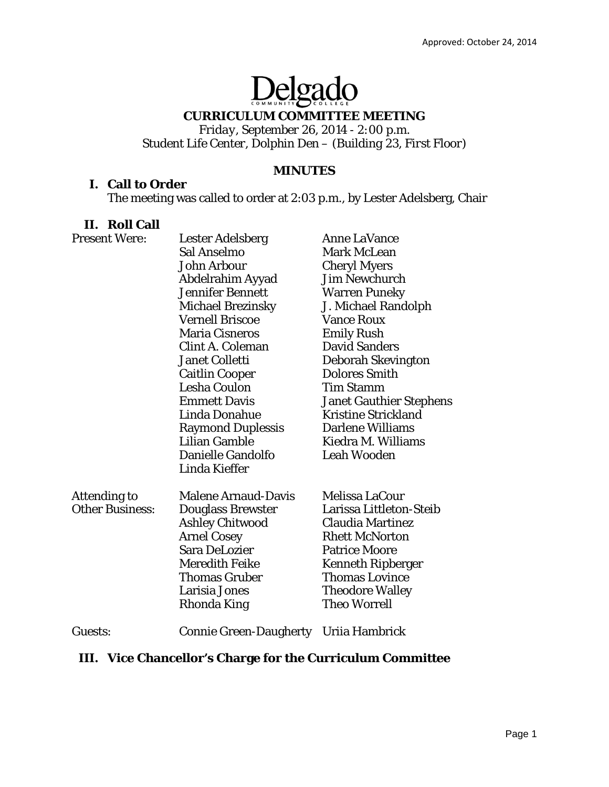# Delgado

## **CURRICULUM COMMITTEE MEETING**

*Friday, September 26, 2014 - 2:00 p.m. Student Life Center, Dolphin Den – (Building 23, First Floor)* 

# **MINUTES**

# **I. Call to Order**

The meeting was called to order at 2:03 p.m., by Lester Adelsberg, Chair

## **II. Roll Call**

| <b>Present Were:</b>   | Lester Adelsberg              | <b>Anne LaVance</b>            |
|------------------------|-------------------------------|--------------------------------|
|                        | Sal Anselmo                   | <b>Mark McLean</b>             |
|                        | John Arbour                   | <b>Cheryl Myers</b>            |
|                        | Abdelrahim Ayyad              | <b>Jim Newchurch</b>           |
|                        | <b>Jennifer Bennett</b>       | <b>Warren Puneky</b>           |
|                        | <b>Michael Brezinsky</b>      | J. Michael Randolph            |
|                        | <b>Vernell Briscoe</b>        | <b>Vance Roux</b>              |
|                        | <b>Maria Cisneros</b>         | <b>Emily Rush</b>              |
|                        | Clint A. Coleman              | <b>David Sanders</b>           |
|                        | <b>Janet Colletti</b>         | <b>Deborah Skevington</b>      |
|                        | <b>Caitlin Cooper</b>         | <b>Dolores Smith</b>           |
|                        | <b>Lesha Coulon</b>           | <b>Tim Stamm</b>               |
|                        | <b>Emmett Davis</b>           | <b>Janet Gauthier Stephens</b> |
|                        | Linda Donahue                 | <b>Kristine Strickland</b>     |
|                        | <b>Raymond Duplessis</b>      | <b>Darlene Williams</b>        |
|                        | <b>Lilian Gamble</b>          | Kiedra M. Williams             |
|                        | Danielle Gandolfo             | <b>Leah Wooden</b>             |
|                        | Linda Kieffer                 |                                |
| Attending to           | <b>Malene Arnaud-Davis</b>    | <b>Melissa LaCour</b>          |
| <b>Other Business:</b> | <b>Douglass Brewster</b>      | Larissa Littleton-Steib        |
|                        | <b>Ashley Chitwood</b>        | <b>Claudia Martinez</b>        |
|                        | <b>Arnel Cosey</b>            | <b>Rhett McNorton</b>          |
|                        | <b>Sara DeLozier</b>          | <b>Patrice Moore</b>           |
|                        | <b>Meredith Feike</b>         | <b>Kenneth Ripberger</b>       |
|                        | <b>Thomas Gruber</b>          | <b>Thomas Lovince</b>          |
|                        | Larisia Jones                 | <b>Theodore Walley</b>         |
|                        | Rhonda King                   | <b>Theo Worrell</b>            |
| Guests:                | <b>Connie Green-Daugherty</b> | Uriia Hambrick                 |

# **III. Vice Chancellor's Charge for the Curriculum Committee**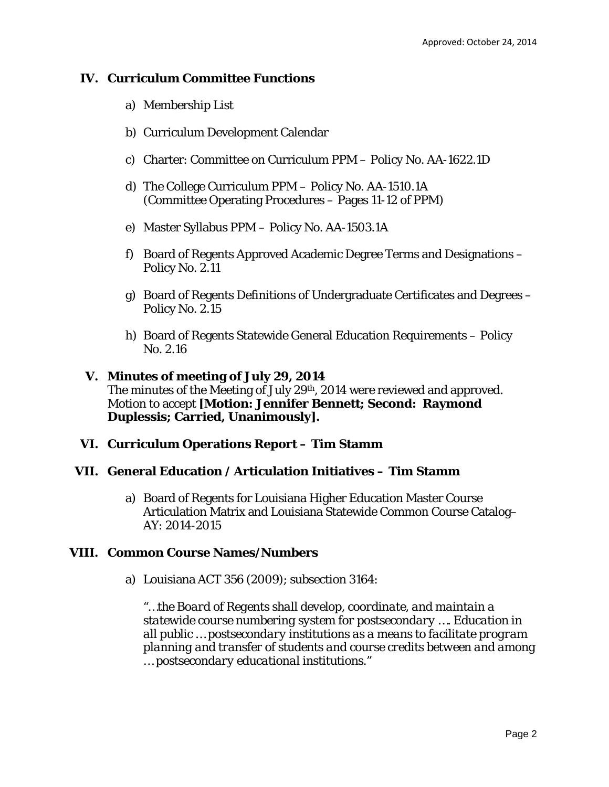# **IV. Curriculum Committee Functions**

- a) Membership List
- b) Curriculum Development Calendar
- c) Charter: Committee on Curriculum PPM Policy No. AA-1622.1D
- d) The College Curriculum PPM Policy No. AA-1510.1A (Committee Operating Procedures – Pages 11-12 of PPM)
- e) Master Syllabus PPM Policy No. AA-1503.1A
- f) Board of Regents Approved Academic Degree Terms and Designations Policy No. 2.11
- g) Board of Regents Definitions of Undergraduate Certificates and Degrees Policy No. 2.15
- h) Board of Regents Statewide General Education Requirements Policy No. 2.16

#### **V. Minutes of meeting of July 29, 2014** The minutes of the Meeting of July 29th, 2014 were reviewed and approved. Motion to accept **[Motion: Jennifer Bennett; Second: Raymond Duplessis; Carried, Unanimously].**

# **VI. Curriculum Operations Report – Tim Stamm**

#### **VII. General Education / Articulation Initiatives – Tim Stamm**

a) Board of Regents for Louisiana Higher Education Master Course Articulation Matrix and Louisiana Statewide Common Course Catalog– AY: 2014-2015

#### **VIII. Common Course Names/Numbers**

a) Louisiana ACT 356 (2009); subsection 3164:

*"…the Board of Regents shall develop, coordinate, and maintain a statewide course numbering system for postsecondary …. Education in all public … postsecondary institutions as a means to facilitate program planning and transfer of students and course credits between and among … postsecondary educational institutions."*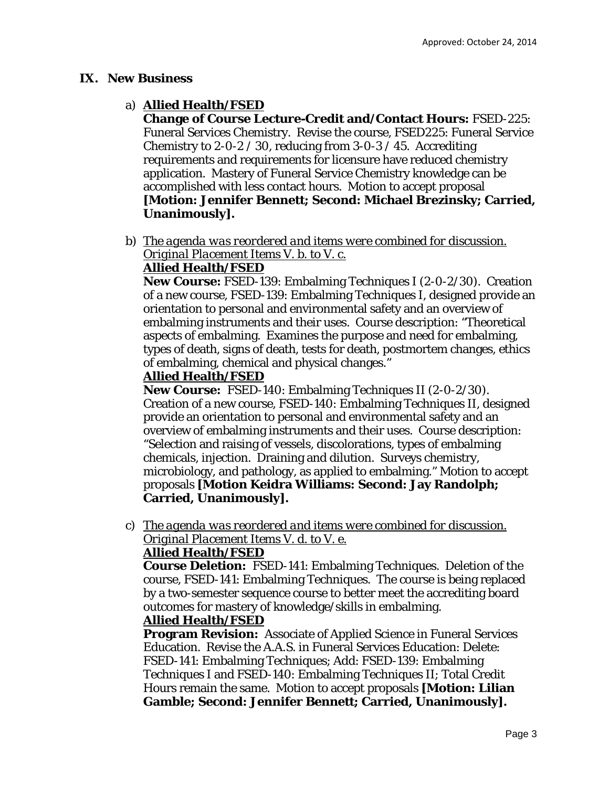## **IX. New Business**

# a) **Allied Health/FSED**

**Change of Course Lecture-Credit and/Contact Hours:** FSED-225: Funeral Services Chemistry. Revise the course, FSED225: Funeral Service Chemistry to 2-0-2 / 30, reducing from 3-0-3 / 45. Accrediting requirements and requirements for licensure have reduced chemistry application. Mastery of Funeral Service Chemistry knowledge can be accomplished with less contact hours. Motion to accept proposal **[Motion: Jennifer Bennett; Second: Michael Brezinsky; Carried, Unanimously].** 

b) *The agenda was reordered and items were combined for discussion. Original Placement Items V. b. to V. c.* 

# **Allied Health/FSED**

**New Course:** FSED-139: Embalming Techniques I (2-0-2/30). Creation of a new course, FSED-139: Embalming Techniques I, designed provide an orientation to personal and environmental safety and an overview of embalming instruments and their uses. Course description: "Theoretical aspects of embalming. Examines the purpose and need for embalming, types of death, signs of death, tests for death, postmortem changes, ethics of embalming, chemical and physical changes."

## **Allied Health/FSED**

**New Course:** FSED-140: Embalming Techniques II (2-0-2/30). Creation of a new course, FSED-140: Embalming Techniques II, designed provide an orientation to personal and environmental safety and an overview of embalming instruments and their uses. Course description: "Selection and raising of vessels, discolorations, types of embalming chemicals, injection. Draining and dilution. Surveys chemistry, microbiology, and pathology, as applied to embalming." Motion to accept proposals **[Motion Keidra Williams: Second: Jay Randolph; Carried, Unanimously].** 

c) *The agenda was reordered and items were combined for discussion. Original Placement Items V. d. to V. e.* 

## **Allied Health/FSED**

**Course Deletion:** FSED-141: Embalming Techniques. Deletion of the course, FSED-141: Embalming Techniques. The course is being replaced by a two-semester sequence course to better meet the accrediting board outcomes for mastery of knowledge/skills in embalming.

#### **Allied Health/FSED**

**Program Revision:** Associate of Applied Science in Funeral Services Education. Revise the A.A.S. in Funeral Services Education: Delete: FSED-141: Embalming Techniques; Add: FSED-139: Embalming Techniques I and FSED-140: Embalming Techniques II; Total Credit Hours remain the same. Motion to accept proposals **[Motion: Lilian Gamble; Second: Jennifer Bennett; Carried, Unanimously].**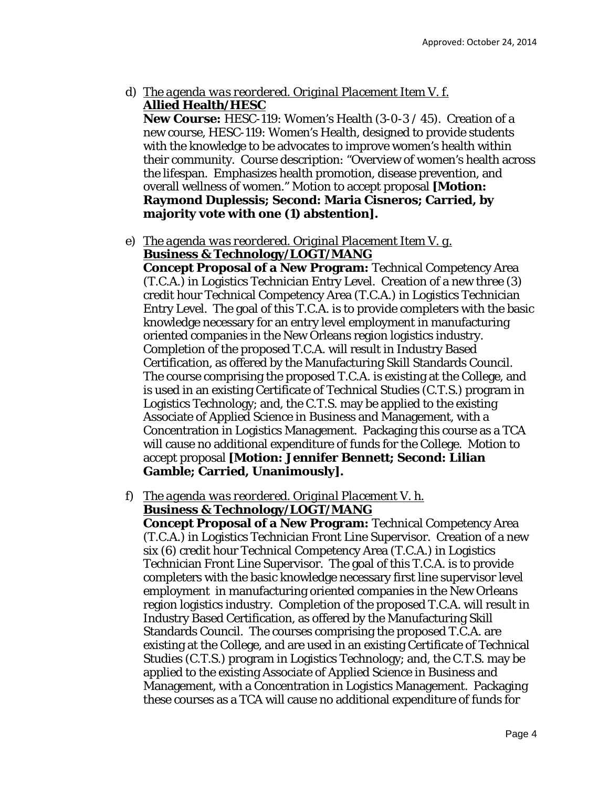d) *The agenda was reordered. Original Placement Item V. f.*  **Allied Health/HESC** 

**New Course:** HESC-119: Women's Health (3-0-3 / 45). Creation of a new course, HESC-119: Women's Health, designed to provide students with the knowledge to be advocates to improve women's health within their community. Course description: "Overview of women's health across the lifespan. Emphasizes health promotion, disease prevention, and overall wellness of women." Motion to accept proposal **[Motion: Raymond Duplessis; Second: Maria Cisneros; Carried, by majority vote with one (1) abstention].**

e) *The agenda was reordered. Original Placement Item V. g.*  **Business & Technology/LOGT/MANG** 

**Concept Proposal of a New Program:** Technical Competency Area (T.C.A.) in Logistics Technician Entry Level. Creation of a new three (3) credit hour Technical Competency Area (T.C.A.) in Logistics Technician Entry Level. The goal of this T.C.A. is to provide completers with the basic knowledge necessary for an entry level employment in manufacturing oriented companies in the New Orleans region logistics industry. Completion of the proposed T.C.A. will result in Industry Based Certification, as offered by the Manufacturing Skill Standards Council. The course comprising the proposed T.C.A. is existing at the College, and is used in an existing Certificate of Technical Studies (C.T.S.) program in Logistics Technology; and, the C.T.S. may be applied to the existing Associate of Applied Science in Business and Management, with a Concentration in Logistics Management. Packaging this course as a TCA will cause no additional expenditure of funds for the College. Motion to accept proposal **[Motion: Jennifer Bennett; Second: Lilian Gamble; Carried, Unanimously].** 

f) *The agenda was reordered. Original Placement V. h.*  **Business & Technology/LOGT/MANG** 

**Concept Proposal of a New Program:** Technical Competency Area (T.C.A.) in Logistics Technician Front Line Supervisor. Creation of a new six (6) credit hour Technical Competency Area (T.C.A.) in Logistics Technician Front Line Supervisor. The goal of this T.C.A. is to provide completers with the basic knowledge necessary first line supervisor level employment in manufacturing oriented companies in the New Orleans region logistics industry. Completion of the proposed T.C.A. will result in Industry Based Certification, as offered by the Manufacturing Skill Standards Council. The courses comprising the proposed T.C.A. are existing at the College, and are used in an existing Certificate of Technical Studies (C.T.S.) program in Logistics Technology; and, the C.T.S. may be applied to the existing Associate of Applied Science in Business and Management, with a Concentration in Logistics Management. Packaging these courses as a TCA will cause no additional expenditure of funds for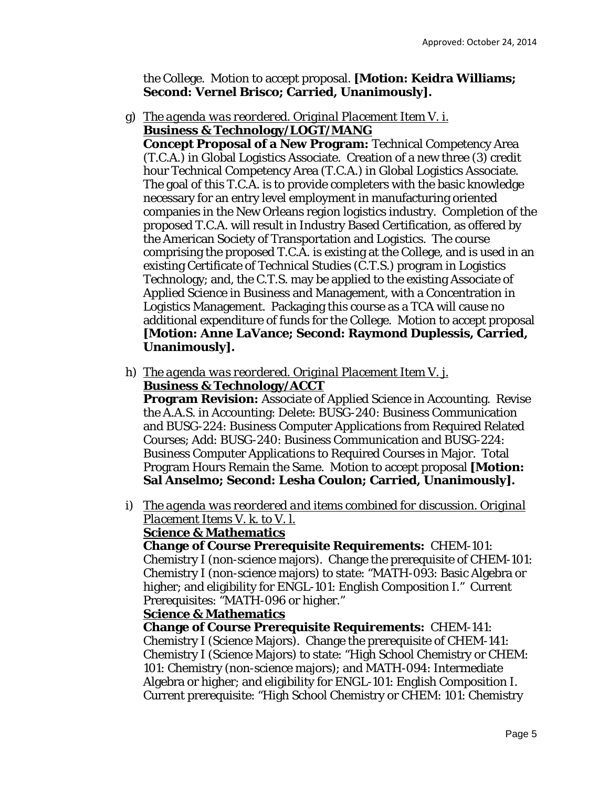the College. Motion to accept proposal. **[Motion: Keidra Williams; Second: Vernel Brisco; Carried, Unanimously].** 

g) *The agenda was reordered. Original Placement Item V. i.*  **Business & Technology/LOGT/MANG** 

**Concept Proposal of a New Program:** Technical Competency Area (T.C.A.) in Global Logistics Associate. Creation of a new three (3) credit hour Technical Competency Area (T.C.A.) in Global Logistics Associate. The goal of this T.C.A. is to provide completers with the basic knowledge necessary for an entry level employment in manufacturing oriented companies in the New Orleans region logistics industry. Completion of the proposed T.C.A. will result in Industry Based Certification, as offered by the American Society of Transportation and Logistics. The course comprising the proposed T.C.A. is existing at the College, and is used in an existing Certificate of Technical Studies (C.T.S.) program in Logistics Technology; and, the C.T.S. may be applied to the existing Associate of Applied Science in Business and Management, with a Concentration in Logistics Management. Packaging this course as a TCA will cause no additional expenditure of funds for the College. Motion to accept proposal **[Motion: Anne LaVance; Second: Raymond Duplessis, Carried, Unanimously].** 

h) *The agenda was reordered. Original Placement Item V. j.*  **Business & Technology/ACCT** 

**Program Revision:** Associate of Applied Science in Accounting. Revise the A.A.S. in Accounting: Delete: BUSG-240: Business Communication and BUSG-224: Business Computer Applications from Required Related Courses; Add: BUSG-240: Business Communication and BUSG-224: Business Computer Applications to Required Courses in Major. Total Program Hours Remain the Same. Motion to accept proposal **[Motion: Sal Anselmo; Second: Lesha Coulon; Carried, Unanimously].** 

i) *The agenda was reordered and items combined for discussion. Original Placement Items V. k. to V. l.*  **Science & Mathematics** 

**Change of Course Prerequisite Requirements:** CHEM-101: Chemistry I (non-science majors). Change the prerequisite of CHEM-101: Chemistry I (non-science majors) to state: "MATH-093: Basic Algebra or higher; and eligibility for ENGL-101: English Composition I." Current Prerequisites: "MATH-096 or higher."

#### **Science & Mathematics**

**Change of Course Prerequisite Requirements:** CHEM-141: Chemistry I (Science Majors). Change the prerequisite of CHEM-141: Chemistry I (Science Majors) to state: "High School Chemistry or CHEM: 101: Chemistry (non-science majors); and MATH-094: Intermediate Algebra or higher; and eligibility for ENGL-101: English Composition I. Current prerequisite: "High School Chemistry or CHEM: 101: Chemistry